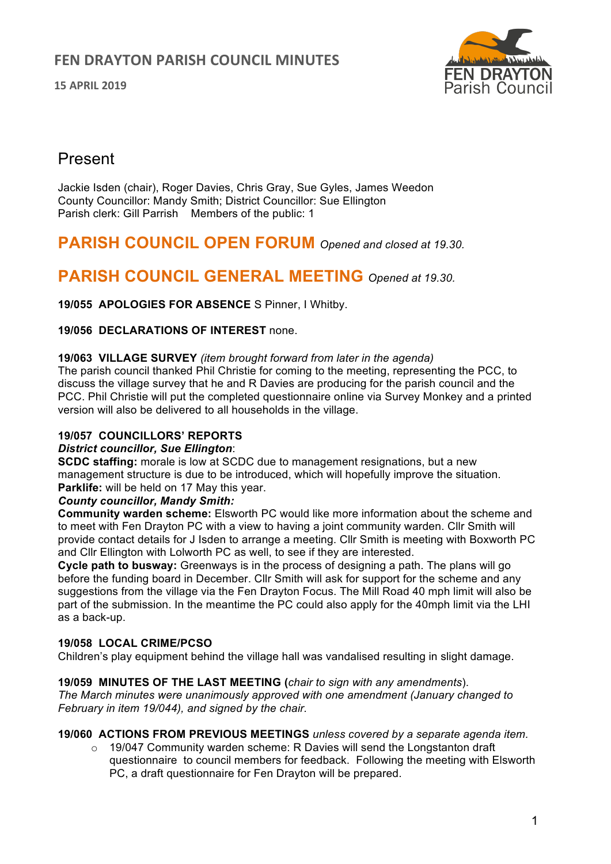**15 APRIL 2019**



# Present

Jackie Isden (chair), Roger Davies, Chris Gray, Sue Gyles, James Weedon County Councillor: Mandy Smith; District Councillor: Sue Ellington Parish clerk: Gill Parrish Members of the public: 1

# **PARISH COUNCIL OPEN FORUM** *Opened and closed at 19.30.*

# **PARISH COUNCIL GENERAL MEETING** *Opened at 19.30.*

**19/055 APOLOGIES FOR ABSENCE** S Pinner, I Whitby.

## **19/056 DECLARATIONS OF INTEREST** none.

#### **19/063 VILLAGE SURVEY** *(item brought forward from later in the agenda)*

The parish council thanked Phil Christie for coming to the meeting, representing the PCC, to discuss the village survey that he and R Davies are producing for the parish council and the PCC. Phil Christie will put the completed questionnaire online via Survey Monkey and a printed version will also be delivered to all households in the village.

## **19/057 COUNCILLORS' REPORTS**

## *District councillor, Sue Ellington*:

**SCDC staffing:** morale is low at SCDC due to management resignations, but a new management structure is due to be introduced, which will hopefully improve the situation. **Parklife:** will be held on 17 May this year.

## *County councillor, Mandy Smith:*

**Community warden scheme:** Elsworth PC would like more information about the scheme and to meet with Fen Drayton PC with a view to having a joint community warden. Cllr Smith will provide contact details for J Isden to arrange a meeting. Cllr Smith is meeting with Boxworth PC and Cllr Ellington with Lolworth PC as well, to see if they are interested.

**Cycle path to busway:** Greenways is in the process of designing a path. The plans will go before the funding board in December. Cllr Smith will ask for support for the scheme and any suggestions from the village via the Fen Drayton Focus. The Mill Road 40 mph limit will also be part of the submission. In the meantime the PC could also apply for the 40mph limit via the LHI as a back-up.

## **19/058 LOCAL CRIME/PCSO**

Children's play equipment behind the village hall was vandalised resulting in slight damage.

## **19/059 MINUTES OF THE LAST MEETING (***chair to sign with any amendments*).

*The March minutes were unanimously approved with one amendment (January changed to February in item 19/044), and signed by the chair.*

## **19/060 ACTIONS FROM PREVIOUS MEETINGS** *unless covered by a separate agenda item.*

o 19/047 Community warden scheme: R Davies will send the Longstanton draft questionnaire to council members for feedback. Following the meeting with Elsworth PC, a draft questionnaire for Fen Drayton will be prepared.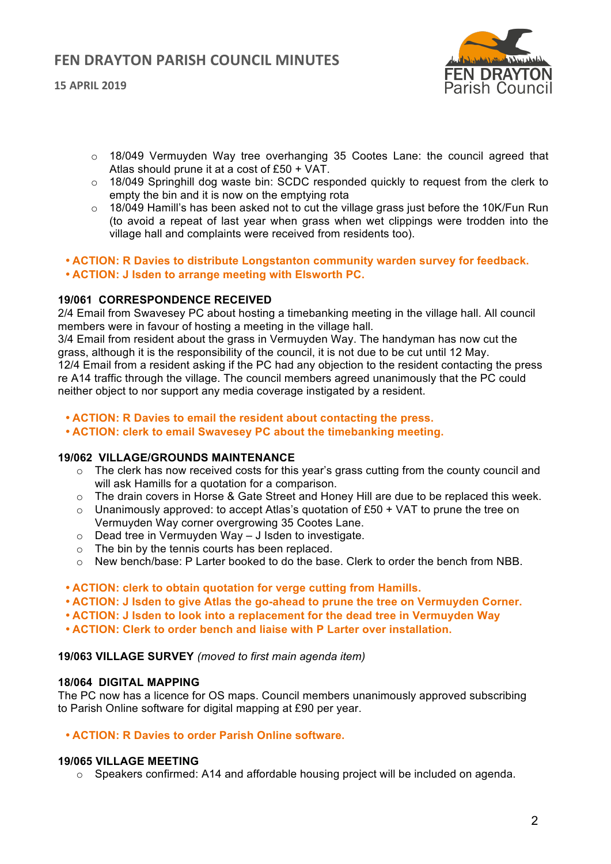**15 APRIL 2019**



- o 18/049 Vermuyden Way tree overhanging 35 Cootes Lane: the council agreed that Atlas should prune it at a cost of £50 + VAT.
- $\circ$  18/049 Springhill dog waste bin: SCDC responded quickly to request from the clerk to empty the bin and it is now on the emptying rota
- o 18/049 Hamill's has been asked not to cut the village grass just before the 10K/Fun Run (to avoid a repeat of last year when grass when wet clippings were trodden into the village hall and complaints were received from residents too).
- **ACTION: R Davies to distribute Longstanton community warden survey for feedback.**
- **ACTION: J Isden to arrange meeting with Elsworth PC.**

## **19/061 CORRESPONDENCE RECEIVED**

2/4 Email from Swavesey PC about hosting a timebanking meeting in the village hall. All council members were in favour of hosting a meeting in the village hall.

3/4 Email from resident about the grass in Vermuyden Way. The handyman has now cut the grass, although it is the responsibility of the council, it is not due to be cut until 12 May.

12/4 Email from a resident asking if the PC had any objection to the resident contacting the press re A14 traffic through the village. The council members agreed unanimously that the PC could neither object to nor support any media coverage instigated by a resident.

- **ACTION: R Davies to email the resident about contacting the press.**
- **ACTION: clerk to email Swavesey PC about the timebanking meeting.**

## **19/062 VILLAGE/GROUNDS MAINTENANCE**

- $\circ$  The clerk has now received costs for this year's grass cutting from the county council and will ask Hamills for a quotation for a comparison.
- o The drain covers in Horse & Gate Street and Honey Hill are due to be replaced this week.
- $\circ$  Unanimously approved: to accept Atlas's quotation of £50 + VAT to prune the tree on Vermuyden Way corner overgrowing 35 Cootes Lane.
- o Dead tree in Vermuyden Way J Isden to investigate.
- o The bin by the tennis courts has been replaced.
- $\circ$  New bench/base: P Larter booked to do the base. Clerk to order the bench from NBB.
- **ACTION: clerk to obtain quotation for verge cutting from Hamills.**
- **ACTION: J Isden to give Atlas the go-ahead to prune the tree on Vermuyden Corner.**
- **ACTION: J Isden to look into a replacement for the dead tree in Vermuyden Way**
- **ACTION: Clerk to order bench and liaise with P Larter over installation.**

## **19/063 VILLAGE SURVEY** *(moved to first main agenda item)*

## **18/064 DIGITAL MAPPING**

The PC now has a licence for OS maps. Council members unanimously approved subscribing to Parish Online software for digital mapping at £90 per year.

## • **ACTION: R Davies to order Parish Online software.**

## **19/065 VILLAGE MEETING**

 $\circ$  Speakers confirmed: A14 and affordable housing project will be included on agenda.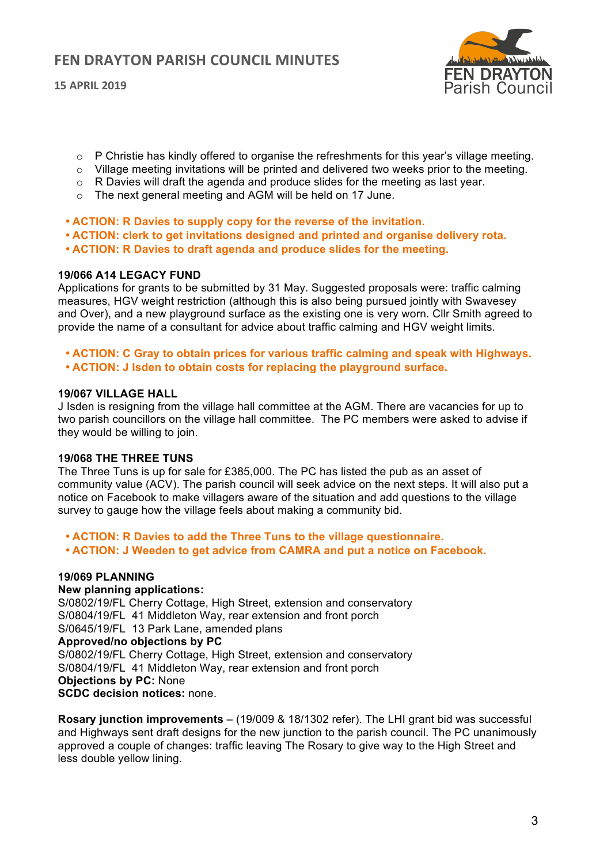**15 APRIL 2019**



- $\circ$  P Christie has kindly offered to organise the refreshments for this year's village meeting.
- $\circ$  Village meeting invitations will be printed and delivered two weeks prior to the meeting.
- $\circ$  R Davies will draft the agenda and produce slides for the meeting as last year.
- o The next general meeting and AGM will be held on 17 June.
- **ACTION: R Davies to supply copy for the reverse of the invitation.**
- **ACTION: clerk to get invitations designed and printed and organise delivery rota.**
- **ACTION: R Davies to draft agenda and produce slides for the meeting.**

#### **19/066 A14 LEGACY FUND**

Applications for grants to be submitted by 31 May. Suggested proposals were: traffic calming measures, HGV weight restriction (although this is also being pursued jointly with Swavesey and Over), and a new playground surface as the existing one is very worn. Cllr Smith agreed to provide the name of a consultant for advice about traffic calming and HGV weight limits.

- **ACTION: C Gray to obtain prices for various traffic calming and speak with Highways.**
- **ACTION: J Isden to obtain costs for replacing the playground surface.**

#### **19/067 VILLAGE HALL**

J Isden is resigning from the village hall committee at the AGM. There are vacancies for up to two parish councillors on the village hall committee. The PC members were asked to advise if they would be willing to join.

## **19/068 THE THREE TUNS**

The Three Tuns is up for sale for £385,000. The PC has listed the pub as an asset of community value (ACV). The parish council will seek advice on the next steps. It will also put a notice on Facebook to make villagers aware of the situation and add questions to the village survey to gauge how the village feels about making a community bid.

- **ACTION: R Davies to add the Three Tuns to the village questionnaire.**
- **ACTION: J Weeden to get advice from CAMRA and put a notice on Facebook.**

## **19/069 PLANNING**

## **New planning applications:**

S/0802/19/FL Cherry Cottage, High Street, extension and conservatory S/0804/19/FL 41 Middleton Way, rear extension and front porch S/0645/19/FL 13 Park Lane, amended plans **Approved/no objections by PC** S/0802/19/FL Cherry Cottage, High Street, extension and conservatory S/0804/19/FL 41 Middleton Way, rear extension and front porch **Objections by PC:** None **SCDC decision notices:** none.

**Rosary junction improvements** – (19/009 & 18/1302 refer). The LHI grant bid was successful and Highways sent draft designs for the new junction to the parish council. The PC unanimously approved a couple of changes: traffic leaving The Rosary to give way to the High Street and less double yellow lining.